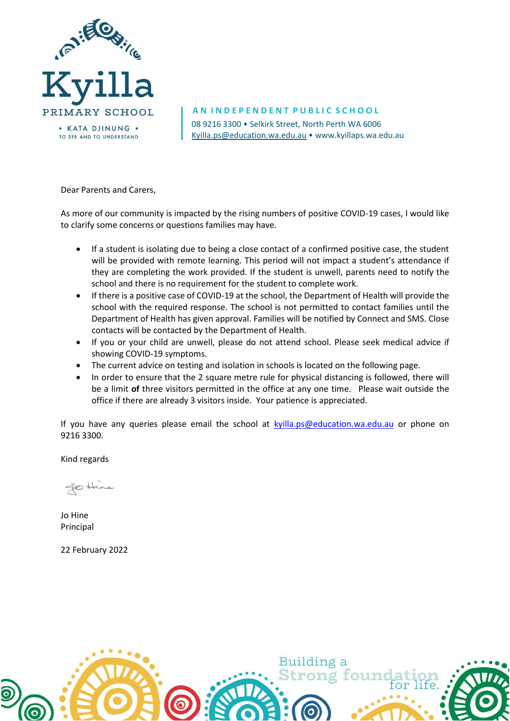

08 9216 3300 • Selkirk Street, North Perth WA 6006 [Kyilla.ps@education.wa.edu.au](mailto:Kyilla.ps@education.wa.edu.au) • www.kyillaps.wa.edu.au **A N I N D E P E N D E N T P U B L I C S C H O O L**

### Dear Parents and Carers,

As more of our community is impacted by the rising numbers of positive COVID-19 cases, I would like to clarify some concerns or questions families may have.

- If a student is isolating due to being a close contact of a confirmed positive case, the student will be provided with remote learning. This period will not impact a student's attendance if they are completing the work provided. If the student is unwell, parents need to notify the school and there is no requirement for the student to complete work.
- If there is a positive case of COVID-19 at the school, the Department of Health will provide the school with the required response. The school is not permitted to contact families until the Department of Health has given approval. Families will be notified by Connect and SMS. Close contacts will be contacted by the Department of Health.
- If you or your child are unwell, please do not attend school. Please seek medical advice if showing COVID-19 symptoms.
- The current advice on testing and isolation in schools is located on the following page.
- In order to ensure that the 2 square metre rule for physical distancing is followed, there will be a limit **of** three visitors permitted in the office at any one time. Please wait outside the office if there are already 3 visitors inside. Your patience is appreciated.

If you have any queries please email the school at [kyilla.ps@education.wa.edu.au](mailto:kyilla.ps@education.wa.edu.au) or phone on 9216 3300.

Kind regards

fo there

Jo Hine Principal

22 February 2022